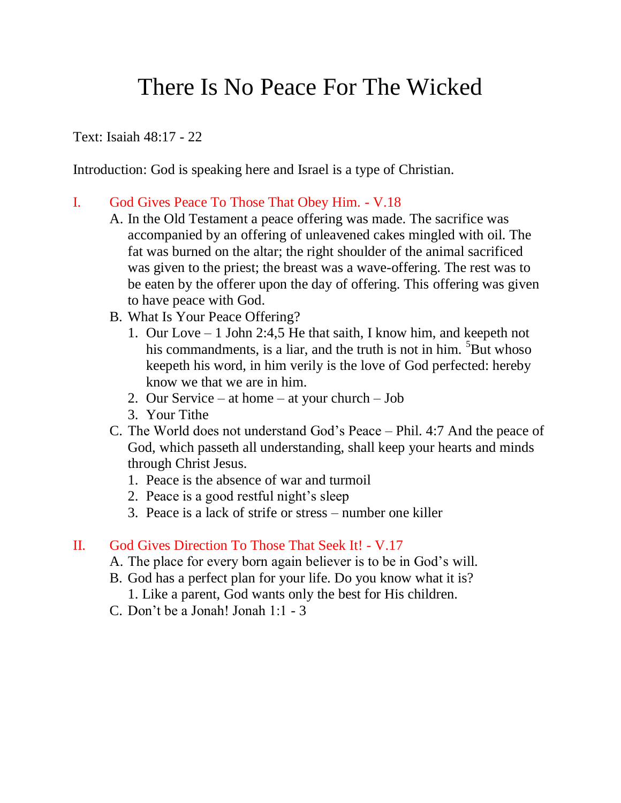## There Is No Peace For The Wicked

Text: Isaiah 48:17 - 22

Introduction: God is speaking here and Israel is a type of Christian.

## I. God Gives Peace To Those That Obey Him. - V.18

- A. In the Old Testament a peace offering was made. The sacrifice was accompanied by an offering of unleavened cakes mingled with oil. The fat was burned on the altar; the right shoulder of the animal sacrificed was given to the priest; the breast was a wave-offering. The rest was to be eaten by the offerer upon the day of offering. This offering was given to have peace with God.
- B. What Is Your Peace Offering?
	- 1. Our Love 1 John 2:4,5 He that saith, I know him, and keepeth not his commandments, is a liar, and the truth is not in him.  ${}^{5}$ But whoso keepeth his word, in him verily is the love of God perfected: hereby know we that we are in him.
	- 2. Our Service at home at your church Job
	- 3. Your Tithe
- C. The World does not understand God's Peace Phil. 4:7 And the peace of God, which passeth all understanding, shall keep your hearts and minds through Christ Jesus.
	- 1. Peace is the absence of war and turmoil
	- 2. Peace is a good restful night's sleep
	- 3. Peace is a lack of strife or stress number one killer

## II. God Gives Direction To Those That Seek It! - V.17

- A. The place for every born again believer is to be in God's will.
- B. God has a perfect plan for your life. Do you know what it is?
	- 1. Like a parent, God wants only the best for His children.
- C. Don't be a Jonah! Jonah 1:1 3